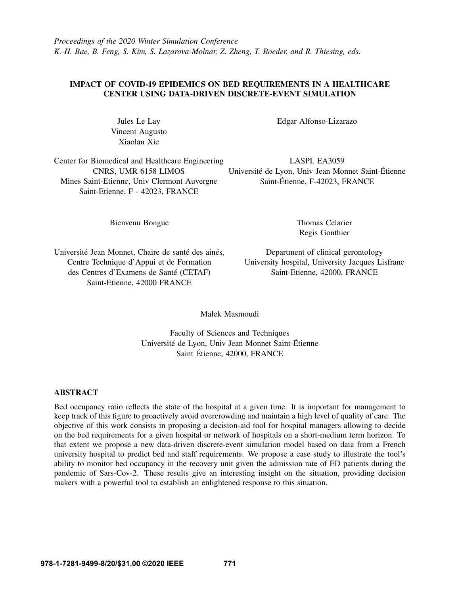## IMPACT OF COVID-19 EPIDEMICS ON BED REQUIREMENTS IN A HEALTHCARE CENTER USING DATA-DRIVEN DISCRETE-EVENT SIMULATION

Jules Le Lay Vincent Augusto Xiaolan Xie

Center for Biomedical and Healthcare Engineering CNRS, UMR 6158 LIMOS Mines Saint-Etienne, Univ Clermont Auvergne Saint-Etienne, F - 42023, FRANCE

Edgar Alfonso-Lizarazo

LASPI, EA3059 Université de Lyon, Univ Jean Monnet Saint-Étienne Saint-Étienne, F-42023, FRANCE

Bienvenu Bongue

Thomas Celarier Regis Gonthier

Université Jean Monnet, Chaire de santé des ainés, Centre Technique d'Appui et de Formation des Centres d'Examens de Santé (CETAF) Saint-Etienne, 42000 FRANCE

Department of clinical gerontology University hospital, University Jacques Lisfranc Saint-Etienne, 42000, FRANCE

Malek Masmoudi

Faculty of Sciences and Techniques Université de Lyon, Univ Jean Monnet Saint-Étienne Saint Étienne, 42000, FRANCE

# ABSTRACT

Bed occupancy ratio reflects the state of the hospital at a given time. It is important for management to keep track of this figure to proactively avoid overcrowding and maintain a high level of quality of care. The objective of this work consists in proposing a decision-aid tool for hospital managers allowing to decide on the bed requirements for a given hospital or network of hospitals on a short-medium term horizon. To that extent we propose a new data-driven discrete-event simulation model based on data from a French university hospital to predict bed and staff requirements. We propose a case study to illustrate the tool's ability to monitor bed occupancy in the recovery unit given the admission rate of ED patients during the pandemic of Sars-Cov-2. These results give an interesting insight on the situation, providing decision makers with a powerful tool to establish an enlightened response to this situation.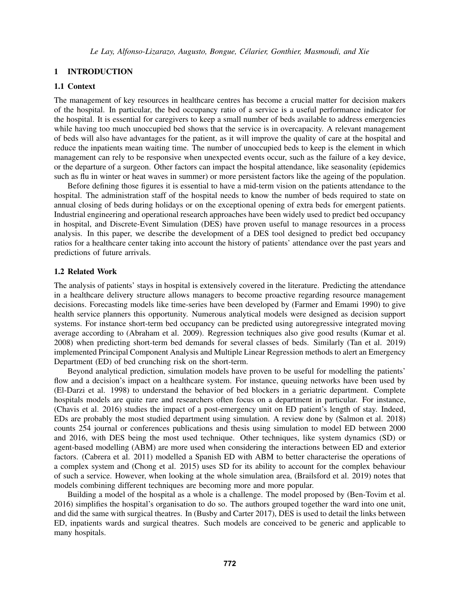## 1 INTRODUCTION

## 1.1 Context

The management of key resources in healthcare centres has become a crucial matter for decision makers of the hospital. In particular, the bed occupancy ratio of a service is a useful performance indicator for the hospital. It is essential for caregivers to keep a small number of beds available to address emergencies while having too much unoccupied bed shows that the service is in overcapacity. A relevant management of beds will also have advantages for the patient, as it will improve the quality of care at the hospital and reduce the inpatients mean waiting time. The number of unoccupied beds to keep is the element in which management can rely to be responsive when unexpected events occur, such as the failure of a key device, or the departure of a surgeon. Other factors can impact the hospital attendance, like seasonality (epidemics such as flu in winter or heat waves in summer) or more persistent factors like the ageing of the population.

Before defining those figures it is essential to have a mid-term vision on the patients attendance to the hospital. The administration staff of the hospital needs to know the number of beds required to state on annual closing of beds during holidays or on the exceptional opening of extra beds for emergent patients. Industrial engineering and operational research approaches have been widely used to predict bed occupancy in hospital, and Discrete-Event Simulation (DES) have proven useful to manage resources in a process analysis. In this paper, we describe the development of a DES tool designed to predict bed occupancy ratios for a healthcare center taking into account the history of patients' attendance over the past years and predictions of future arrivals.

### 1.2 Related Work

The analysis of patients' stays in hospital is extensively covered in the literature. Predicting the attendance in a healthcare delivery structure allows managers to become proactive regarding resource management decisions. Forecasting models like time-series have been developed by [\(Farmer and Emami 1990\)](#page-9-0) to give health service planners this opportunity. Numerous analytical models were designed as decision support systems. For instance short-term bed occupancy can be predicted using autoregressive integrated moving average according to [\(Abraham et al. 2009\)](#page-9-1). Regression techniques also give good results [\(Kumar et al.](#page-9-2) [2008\)](#page-9-2) when predicting short-term bed demands for several classes of beds. Similarly [\(Tan et al. 2019\)](#page-9-3) implemented Principal Component Analysis and Multiple Linear Regression methods to alert an Emergency Department (ED) of bed crunching risk on the short-term.

Beyond analytical prediction, simulation models have proven to be useful for modelling the patients' flow and a decision's impact on a healthcare system. For instance, queuing networks have been used by [\(El-Darzi et al. 1998\)](#page-9-4) to understand the behavior of bed blockers in a geriatric department. Complete hospitals models are quite rare and researchers often focus on a department in particular. For instance, [\(Chavis et al. 2016\)](#page-9-5) studies the impact of a post-emergency unit on ED patient's length of stay. Indeed, EDs are probably the most studied department using simulation. A review done by [\(Salmon et al. 2018\)](#page-9-6) counts 254 journal or conferences publications and thesis using simulation to model ED between 2000 and 2016, with DES being the most used technique. Other techniques, like system dynamics (SD) or agent-based modelling (ABM) are more used when considering the interactions between ED and exterior factors. [\(Cabrera et al. 2011\)](#page-9-7) modelled a Spanish ED with ABM to better characterise the operations of a complex system and [\(Chong et al. 2015\)](#page-9-8) uses SD for its ability to account for the complex behaviour of such a service. However, when looking at the whole simulation area, [\(Brailsford et al. 2019\)](#page-9-9) notes that models combining different techniques are becoming more and more popular.

Building a model of the hospital as a whole is a challenge. The model proposed by [\(Ben-Tovim et al.](#page-9-10) [2016\)](#page-9-10) simplifies the hospital's organisation to do so. The authors grouped together the ward into one unit, and did the same with surgical theatres. In [\(Busby and Carter 2017\)](#page-9-11), DES is used to detail the links between ED, inpatients wards and surgical theatres. Such models are conceived to be generic and applicable to many hospitals.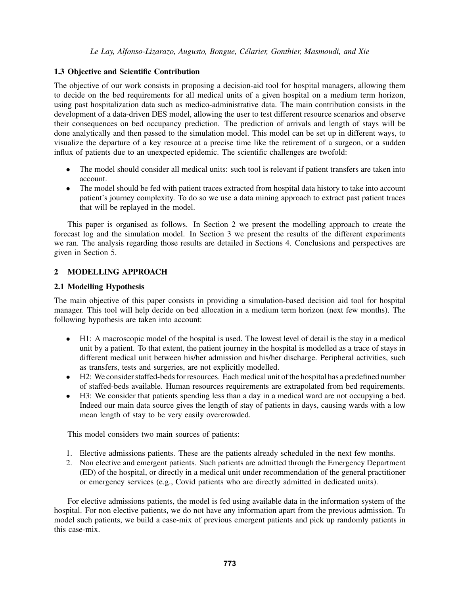# 1.3 Objective and Scientific Contribution

The objective of our work consists in proposing a decision-aid tool for hospital managers, allowing them to decide on the bed requirements for all medical units of a given hospital on a medium term horizon, using past hospitalization data such as medico-administrative data. The main contribution consists in the development of a data-driven DES model, allowing the user to test different resource scenarios and observe their consequences on bed occupancy prediction. The prediction of arrivals and length of stays will be done analytically and then passed to the simulation model. This model can be set up in different ways, to visualize the departure of a key resource at a precise time like the retirement of a surgeon, or a sudden influx of patients due to an unexpected epidemic. The scientific challenges are twofold:

- The model should consider all medical units: such tool is relevant if patient transfers are taken into account.
- The model should be fed with patient traces extracted from hospital data history to take into account patient's journey complexity. To do so we use a data mining approach to extract past patient traces that will be replayed in the model.

This paper is organised as follows. In Section [2](#page-2-0) we present the modelling approach to create the forecast log and the simulation model. In Section [3](#page-4-0) we present the results of the different experiments we ran. The analysis regarding those results are detailed in Sections [4.](#page-8-0) Conclusions and perspectives are given in Section [5.](#page-8-1)

# <span id="page-2-0"></span>2 MODELLING APPROACH

# 2.1 Modelling Hypothesis

The main objective of this paper consists in providing a simulation-based decision aid tool for hospital manager. This tool will help decide on bed allocation in a medium term horizon (next few months). The following hypothesis are taken into account:

- H1: A macroscopic model of the hospital is used. The lowest level of detail is the stay in a medical unit by a patient. To that extent, the patient journey in the hospital is modelled as a trace of stays in different medical unit between his/her admission and his/her discharge. Peripheral activities, such as transfers, tests and surgeries, are not explicitly modelled.
- H2: We consider staffed-beds for resources. Each medical unit of the hospital has a predefined number of staffed-beds available. Human resources requirements are extrapolated from bed requirements.
- H3: We consider that patients spending less than a day in a medical ward are not occupying a bed. Indeed our main data source gives the length of stay of patients in days, causing wards with a low mean length of stay to be very easily overcrowded.

This model considers two main sources of patients:

- 1. Elective admissions patients. These are the patients already scheduled in the next few months.
- 2. Non elective and emergent patients. Such patients are admitted through the Emergency Department (ED) of the hospital, or directly in a medical unit under recommendation of the general practitioner or emergency services (e.g., Covid patients who are directly admitted in dedicated units).

For elective admissions patients, the model is fed using available data in the information system of the hospital. For non elective patients, we do not have any information apart from the previous admission. To model such patients, we build a case-mix of previous emergent patients and pick up randomly patients in this case-mix.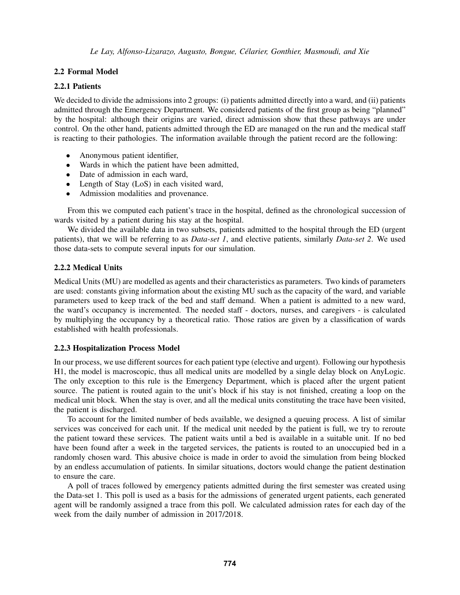## 2.2 Formal Model

## 2.2.1 Patients

We decided to divide the admissions into 2 groups: (i) patients admitted directly into a ward, and (ii) patients admitted through the Emergency Department. We considered patients of the first group as being "planned" by the hospital: although their origins are varied, direct admission show that these pathways are under control. On the other hand, patients admitted through the ED are managed on the run and the medical staff is reacting to their pathologies. The information available through the patient record are the following:

- Anonymous patient identifier,
- Wards in which the patient have been admitted,
- Date of admission in each ward,
- Length of Stay (LoS) in each visited ward,
- Admission modalities and provenance.

From this we computed each patient's trace in the hospital, defined as the chronological succession of wards visited by a patient during his stay at the hospital.

We divided the available data in two subsets, patients admitted to the hospital through the ED (urgent patients), that we will be referring to as *Data-set 1*, and elective patients, similarly *Data-set 2*. We used those data-sets to compute several inputs for our simulation.

## 2.2.2 Medical Units

Medical Units (MU) are modelled as agents and their characteristics as parameters. Two kinds of parameters are used: constants giving information about the existing MU such as the capacity of the ward, and variable parameters used to keep track of the bed and staff demand. When a patient is admitted to a new ward, the ward's occupancy is incremented. The needed staff - doctors, nurses, and caregivers - is calculated by multiplying the occupancy by a theoretical ratio. Those ratios are given by a classification of wards established with health professionals.

### <span id="page-3-0"></span>2.2.3 Hospitalization Process Model

In our process, we use different sources for each patient type (elective and urgent). Following our hypothesis H1, the model is macroscopic, thus all medical units are modelled by a single delay block on AnyLogic. The only exception to this rule is the Emergency Department, which is placed after the urgent patient source. The patient is routed again to the unit's block if his stay is not finished, creating a loop on the medical unit block. When the stay is over, and all the medical units constituting the trace have been visited, the patient is discharged.

To account for the limited number of beds available, we designed a queuing process. A list of similar services was conceived for each unit. If the medical unit needed by the patient is full, we try to reroute the patient toward these services. The patient waits until a bed is available in a suitable unit. If no bed have been found after a week in the targeted services, the patients is routed to an unoccupied bed in a randomly chosen ward. This abusive choice is made in order to avoid the simulation from being blocked by an endless accumulation of patients. In similar situations, doctors would change the patient destination to ensure the care.

A poll of traces followed by emergency patients admitted during the first semester was created using the Data-set 1. This poll is used as a basis for the admissions of generated urgent patients, each generated agent will be randomly assigned a trace from this poll. We calculated admission rates for each day of the week from the daily number of admission in 2017/2018.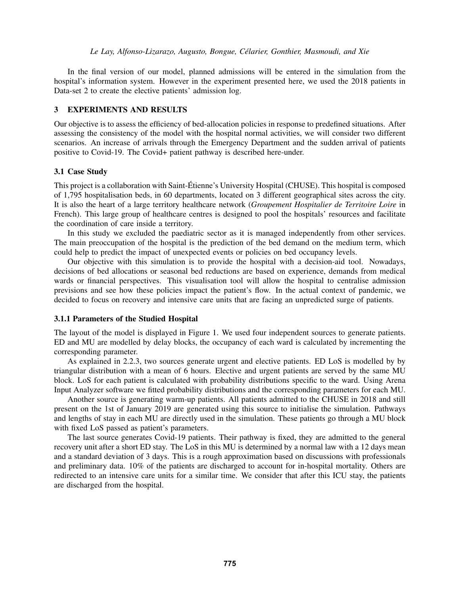In the final version of our model, planned admissions will be entered in the simulation from the hospital's information system. However in the experiment presented here, we used the 2018 patients in Data-set 2 to create the elective patients' admission log.

## <span id="page-4-0"></span>3 EXPERIMENTS AND RESULTS

Our objective is to assess the efficiency of bed-allocation policies in response to predefined situations. After assessing the consistency of the model with the hospital normal activities, we will consider two different scenarios. An increase of arrivals through the Emergency Department and the sudden arrival of patients positive to Covid-19. The Covid+ patient pathway is described here-under.

### 3.1 Case Study

This project is a collaboration with Saint-Etienne's University Hospital (CHUSE). This hospital is composed ´ of 1,795 hospitalisation beds, in 60 departments, located on 3 different geographical sites across the city. It is also the heart of a large territory healthcare network (*Groupement Hospitalier de Territoire Loire* in French). This large group of healthcare centres is designed to pool the hospitals' resources and facilitate the coordination of care inside a territory.

In this study we excluded the paediatric sector as it is managed independently from other services. The main preoccupation of the hospital is the prediction of the bed demand on the medium term, which could help to predict the impact of unexpected events or policies on bed occupancy levels.

Our objective with this simulation is to provide the hospital with a decision-aid tool. Nowadays, decisions of bed allocations or seasonal bed reductions are based on experience, demands from medical wards or financial perspectives. This visualisation tool will allow the hospital to centralise admission previsions and see how these policies impact the patient's flow. In the actual context of pandemic, we decided to focus on recovery and intensive care units that are facing an unpredicted surge of patients.

### 3.1.1 Parameters of the Studied Hospital

The layout of the model is displayed in Figure [1.](#page-5-0) We used four independent sources to generate patients. ED and MU are modelled by delay blocks, the occupancy of each ward is calculated by incrementing the corresponding parameter.

As explained in [2.2.3,](#page-3-0) two sources generate urgent and elective patients. ED LoS is modelled by by triangular distribution with a mean of 6 hours. Elective and urgent patients are served by the same MU block. LoS for each patient is calculated with probability distributions specific to the ward. Using Arena Input Analyzer software we fitted probability distributions and the corresponding parameters for each MU.

Another source is generating warm-up patients. All patients admitted to the CHUSE in 2018 and still present on the 1st of January 2019 are generated using this source to initialise the simulation. Pathways and lengths of stay in each MU are directly used in the simulation. These patients go through a MU block with fixed LoS passed as patient's parameters.

The last source generates Covid-19 patients. Their pathway is fixed, they are admitted to the general recovery unit after a short ED stay. The LoS in this MU is determined by a normal law with a 12 days mean and a standard deviation of 3 days. This is a rough approximation based on discussions with professionals and preliminary data. 10% of the patients are discharged to account for in-hospital mortality. Others are redirected to an intensive care units for a similar time. We consider that after this ICU stay, the patients are discharged from the hospital.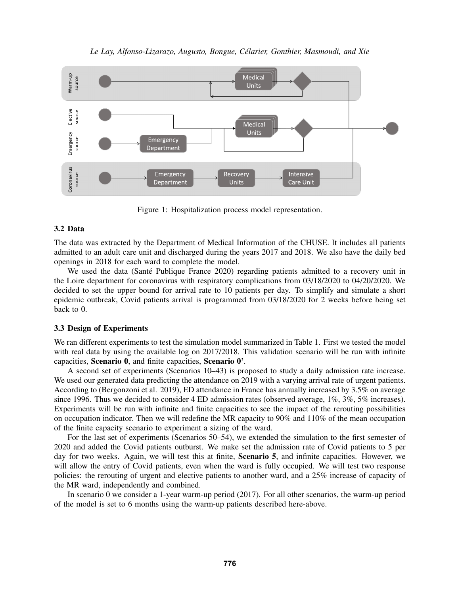

*Le Lay, Alfonso-Lizarazo, Augusto, Bongue, Celarier, Gonthier, Masmoudi, and Xie ´*

<span id="page-5-0"></span>Figure 1: Hospitalization process model representation.

# 3.2 Data

The data was extracted by the Department of Medical Information of the CHUSE. It includes all patients admitted to an adult care unit and discharged during the years 2017 and 2018. We also have the daily bed openings in 2018 for each ward to complete the model.

We used the data (Santé Publique France 2020) regarding patients admitted to a recovery unit in the Loire department for coronavirus with respiratory complications from 03/18/2020 to 04/20/2020. We decided to set the upper bound for arrival rate to 10 patients per day. To simplify and simulate a short epidemic outbreak, Covid patients arrival is programmed from 03/18/2020 for 2 weeks before being set back to 0.

# 3.3 Design of Experiments

We ran different experiments to test the simulation model summarized in Table [1.](#page-6-0) First we tested the model with real data by using the available log on 2017/2018. This validation scenario will be run with infinite capacities, Scenario 0, and finite capacities, Scenario 0'.

A second set of experiments (Scenarios 10–43) is proposed to study a daily admission rate increase. We used our generated data predicting the attendance on 2019 with a varying arrival rate of urgent patients. According to [\(Bergonzoni et al. 2019\)](#page-9-13), ED attendance in France has annually increased by 3.5% on average since 1996. Thus we decided to consider 4 ED admission rates (observed average, 1%, 3%, 5% increases). Experiments will be run with infinite and finite capacities to see the impact of the rerouting possibilities on occupation indicator. Then we will redefine the MR capacity to 90% and 110% of the mean occupation of the finite capacity scenario to experiment a sizing of the ward.

For the last set of experiments (Scenarios 50–54), we extended the simulation to the first semester of 2020 and added the Covid patients outburst. We make set the admission rate of Covid patients to 5 per day for two weeks. Again, we will test this at finite, Scenario 5, and infinite capacities. However, we will allow the entry of Covid patients, even when the ward is fully occupied. We will test two response policies: the rerouting of urgent and elective patients to another ward, and a 25% increase of capacity of the MR ward, independently and combined.

In scenario 0 we consider a 1-year warm-up period (2017). For all other scenarios, the warm-up period of the model is set to 6 months using the warm-up patients described here-above.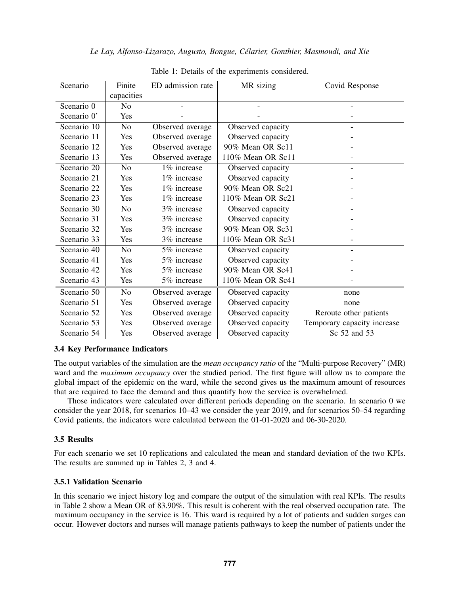|  | Le Lay, Alfonso-Lizarazo, Augusto, Bongue, Célarier, Gonthier, Masmoudi, and Xie |
|--|----------------------------------------------------------------------------------|
|--|----------------------------------------------------------------------------------|

| Scenario      | Finite         | ED admission rate | MR sizing         | Covid Response              |
|---------------|----------------|-------------------|-------------------|-----------------------------|
|               | capacities     |                   |                   |                             |
| Scenario 0    | N <sub>o</sub> |                   |                   |                             |
| Scenario 0'   | Yes            |                   |                   |                             |
| Scenario 10   | N <sub>o</sub> | Observed average  | Observed capacity |                             |
| Scenario 11   | Yes            | Observed average  | Observed capacity |                             |
| Scenario 12   | Yes            | Observed average  | 90% Mean OR Sc11  |                             |
| Scenario 13   | Yes            | Observed average  | 110% Mean OR Sc11 |                             |
| Scenario $20$ | N <sub>o</sub> | 1% increase       | Observed capacity |                             |
| Scenario 21   | Yes            | 1% increase       | Observed capacity |                             |
| Scenario 22   | Yes            | 1% increase       | 90% Mean OR Sc21  |                             |
| Scenario 23   | Yes            | 1% increase       | 110% Mean OR Sc21 |                             |
| Scenario 30   | N <sub>0</sub> | 3% increase       | Observed capacity |                             |
| Scenario 31   | Yes            | 3% increase       | Observed capacity |                             |
| Scenario 32   | Yes            | 3% increase       | 90% Mean OR Sc31  |                             |
| Scenario 33   | Yes            | 3% increase       | 110% Mean OR Sc31 |                             |
| Scenario 40   | N <sub>o</sub> | 5% increase       | Observed capacity |                             |
| Scenario 41   | Yes            | 5% increase       | Observed capacity |                             |
| Scenario 42   | Yes            | 5% increase       | 90% Mean OR Sc41  |                             |
| Scenario 43   | Yes            | 5% increase       | 110% Mean OR Sc41 |                             |
| Scenario 50   | N <sub>o</sub> | Observed average  | Observed capacity | none                        |
| Scenario 51   | Yes            | Observed average  | Observed capacity | none                        |
| Scenario 52   | Yes            | Observed average  | Observed capacity | Reroute other patients      |
| Scenario 53   | Yes            | Observed average  | Observed capacity | Temporary capacity increase |
| Scenario 54   | Yes            | Observed average  | Observed capacity | Sc 52 and 53                |

<span id="page-6-0"></span>Table 1: Details of the experiments considered.

# 3.4 Key Performance Indicators

The output variables of the simulation are the *mean occupancy ratio* of the "Multi-purpose Recovery" (MR) ward and the *maximum occupancy* over the studied period. The first figure will allow us to compare the global impact of the epidemic on the ward, while the second gives us the maximum amount of resources that are required to face the demand and thus quantify how the service is overwhelmed.

Those indicators were calculated over different periods depending on the scenario. In scenario 0 we consider the year 2018, for scenarios 10–43 we consider the year 2019, and for scenarios 50–54 regarding Covid patients, the indicators were calculated between the 01-01-2020 and 06-30-2020.

# 3.5 Results

For each scenario we set 10 replications and calculated the mean and standard deviation of the two KPIs. The results are summed up in Tables [2,](#page-7-0) [3](#page-7-1) and [4.](#page-8-2)

# 3.5.1 Validation Scenario

In this scenario we inject history log and compare the output of the simulation with real KPIs. The results in Table [2](#page-7-0) show a Mean OR of 83.90%. This result is coherent with the real observed occupation rate. The maximum occupancy in the service is 16. This ward is required by a lot of patients and sudden surges can occur. However doctors and nurses will manage patients pathways to keep the number of patients under the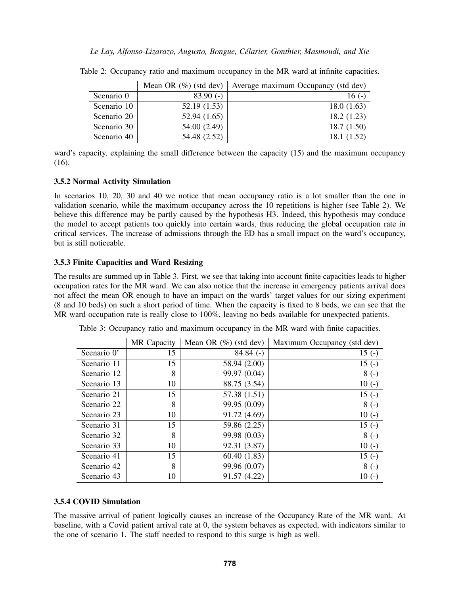<span id="page-7-0"></span>

|             |              | Mean OR $(\%)$ (std dev) Average maximum Occupancy (std dev) |
|-------------|--------------|--------------------------------------------------------------|
| Scenario 0  | $83.90(-)$   | 16 $(-)$                                                     |
| Scenario 10 | 52.19(1.53)  | 18.0(1.63)                                                   |
| Scenario 20 | 52.94(1.65)  | 18.2(1.23)                                                   |
| Scenario 30 | 54.00 (2.49) | 18.7(1.50)                                                   |
| Scenario 40 | 54.48 (2.52) | 18.1(1.52)                                                   |

Table 2: Occupancy ratio and maximum occupancy in the MR ward at infinite capacities.

ward's capacity, explaining the small difference between the capacity (15) and the maximum occupancy (16).

## 3.5.2 Normal Activity Simulation

In scenarios 10, 20, 30 and 40 we notice that mean occupancy ratio is a lot smaller than the one in validation scenario, while the maximum occupancy across the 10 repetitions is higher (see Table [2\)](#page-7-0). We believe this difference may be partly caused by the hypothesis H3. Indeed, this hypothesis may conduce the model to accept patients too quickly into certain wards, thus reducing the global occupation rate in critical services. The increase of admissions through the ED has a small impact on the ward's occupancy, but is still noticeable.

# 3.5.3 Finite Capacities and Ward Resizing

The results are summed up in Table [3.](#page-7-1) First, we see that taking into account finite capacities leads to higher occupation rates for the MR ward. We can also notice that the increase in emergency patients arrival does not affect the mean OR enough to have an impact on the wards' target values for our sizing experiment (8 and 10 beds) on such a short period of time. When the capacity is fixed to 8 beds, we can see that the MR ward occupation rate is really close to 100%, leaving no beds available for unexpected patients.

|             | MR Capacity | Mean OR $(\%)$ (std dev) | Maximum Occupancy (std dev) |
|-------------|-------------|--------------------------|-----------------------------|
| Scenario 0' | 15          | $84.84$ (-)              | $15( - )$                   |
| Scenario 11 | 15          | 58.94 (2.00)             | $15( - )$                   |
| Scenario 12 | 8           | 99.97 (0.04)             | $8(-)$                      |
| Scenario 13 | 10          | 88.75 (3.54)             | $10(-)$                     |
| Scenario 21 | 15          | 57.38 (1.51)             | $15( - )$                   |
| Scenario 22 | 8           | 99.95 (0.09)             | $8(-)$                      |
| Scenario 23 | 10          | 91.72 (4.69)             | $10(-)$                     |
| Scenario 31 | 15          | 59.86 (2.25)             | $15( - )$                   |
| Scenario 32 | 8           | 99.98 (0.03)             | $8(-)$                      |
| Scenario 33 | 10          | 92.31 (3.87)             | $10(-)$                     |
| Scenario 41 | 15          | 60.40(1.83)              | $15( - )$                   |
| Scenario 42 | 8           | 99.96 (0.07)             | $8(-)$                      |
| Scenario 43 | 10          | 91.57 (4.22)             | $10(-)$                     |

<span id="page-7-1"></span>Table 3: Occupancy ratio and maximum occupancy in the MR ward with finite capacities.

# 3.5.4 COVID Simulation

The massive arrival of patient logically causes an increase of the Occupancy Rate of the MR ward. At baseline, with a Covid patient arrival rate at 0, the system behaves as expected, with indicators similar to the one of scenario 1. The staff needed to respond to this surge is high as well.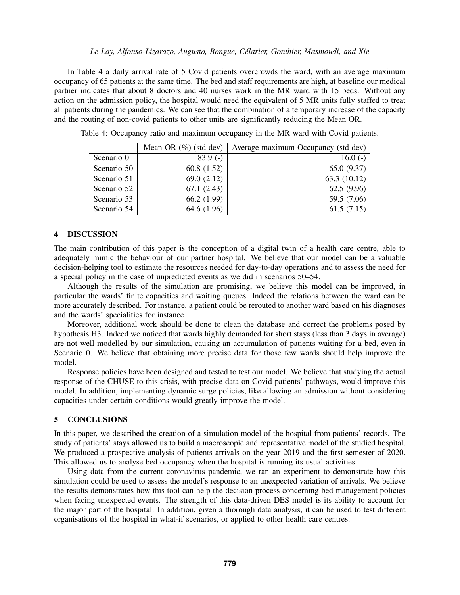In Table [4](#page-8-2) a daily arrival rate of 5 Covid patients overcrowds the ward, with an average maximum occupancy of 65 patients at the same time. The bed and staff requirements are high, at baseline our medical partner indicates that about 8 doctors and 40 nurses work in the MR ward with 15 beds. Without any action on the admission policy, the hospital would need the equivalent of 5 MR units fully staffed to treat all patients during the pandemics. We can see that the combination of a temporary increase of the capacity and the routing of non-covid patients to other units are significantly reducing the Mean OR.

Table 4: Occupancy ratio and maximum occupancy in the MR ward with Covid patients.

<span id="page-8-2"></span>

|             |               | Mean OR $(\%)$ (std dev) Average maximum Occupancy (std dev) |
|-------------|---------------|--------------------------------------------------------------|
| Scenario 0  | $83.9(-)$     | 16.0 $(-)$                                                   |
| Scenario 50 | 60.8 $(1.52)$ | 65.0(9.37)                                                   |
| Scenario 51 | 69.0(2.12)    | 63.3 (10.12)                                                 |
| Scenario 52 | 67.1(2.43)    | 62.5(9.96)                                                   |
| Scenario 53 | 66.2(1.99)    | 59.5 (7.06)                                                  |
| Scenario 54 | 64.6 (1.96)   | 61.5(7.15)                                                   |

### <span id="page-8-0"></span>4 DISCUSSION

The main contribution of this paper is the conception of a digital twin of a health care centre, able to adequately mimic the behaviour of our partner hospital. We believe that our model can be a valuable decision-helping tool to estimate the resources needed for day-to-day operations and to assess the need for a special policy in the case of unpredicted events as we did in scenarios 50–54.

Although the results of the simulation are promising, we believe this model can be improved, in particular the wards' finite capacities and waiting queues. Indeed the relations between the ward can be more accurately described. For instance, a patient could be rerouted to another ward based on his diagnoses and the wards' specialities for instance.

Moreover, additional work should be done to clean the database and correct the problems posed by hypothesis H3. Indeed we noticed that wards highly demanded for short stays (less than 3 days in average) are not well modelled by our simulation, causing an accumulation of patients waiting for a bed, even in Scenario 0. We believe that obtaining more precise data for those few wards should help improve the model.

Response policies have been designed and tested to test our model. We believe that studying the actual response of the CHUSE to this crisis, with precise data on Covid patients' pathways, would improve this model. In addition, implementing dynamic surge policies, like allowing an admission without considering capacities under certain conditions would greatly improve the model.

#### <span id="page-8-1"></span>5 CONCLUSIONS

In this paper, we described the creation of a simulation model of the hospital from patients' records. The study of patients' stays allowed us to build a macroscopic and representative model of the studied hospital. We produced a prospective analysis of patients arrivals on the year 2019 and the first semester of 2020. This allowed us to analyse bed occupancy when the hospital is running its usual activities.

Using data from the current coronavirus pandemic, we ran an experiment to demonstrate how this simulation could be used to assess the model's response to an unexpected variation of arrivals. We believe the results demonstrates how this tool can help the decision process concerning bed management policies when facing unexpected events. The strength of this data-driven DES model is its ability to account for the major part of the hospital. In addition, given a thorough data analysis, it can be used to test different organisations of the hospital in what-if scenarios, or applied to other health care centres.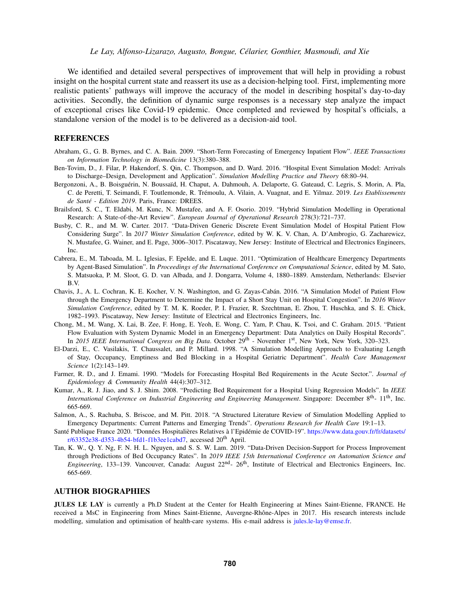We identified and detailed several perspectives of improvement that will help in providing a robust insight on the hospital current state and reassert its use as a decision-helping tool. First, implementing more realistic patients' pathways will improve the accuracy of the model in describing hospital's day-to-day activities. Secondly, the definition of dynamic surge responses is a necessary step analyze the impact of exceptional crises like Covid-19 epidemic. Once completed and reviewed by hospital's officials, a standalone version of the model is to be delivered as a decision-aid tool.

### **REFERENCES**

- <span id="page-9-1"></span>Abraham, G., G. B. Byrnes, and C. A. Bain. 2009. "Short-Term Forecasting of Emergency Inpatient Flow". *IEEE Transactions on Information Technology in Biomedicine* 13(3):380–388.
- <span id="page-9-10"></span>Ben-Tovim, D., J. Filar, P. Hakendorf, S. Qin, C. Thompson, and D. Ward. 2016. "Hospital Event Simulation Model: Arrivals to Discharge–Design, Development and Application". *Simulation Modelling Practice and Theory* 68:80–94.
- <span id="page-9-13"></span>Bergonzoni, A., B. Boisguérin, N. Boussaïd, H. Chaput, A. Dahmouh, A. Delaporte, G. Gateaud, C. Legris, S. Morin, A. Pla, C. de Peretti, T. Seimandi, F. Toutlemonde, R. Trémoulu, A. Vilain, A. Vuagnat, and E. Yilmaz. 2019. Les Etablissements *de Sante - Edition 2019 ´* . Paris, France: DREES.
- <span id="page-9-9"></span>Brailsford, S. C., T. Eldabi, M. Kunc, N. Mustafee, and A. F. Osorio. 2019. "Hybrid Simulation Modelling in Operational Research: A State-of-the-Art Review". *European Journal of Operational Research* 278(3):721–737.
- <span id="page-9-11"></span>Busby, C. R., and M. W. Carter. 2017. "Data-Driven Generic Discrete Event Simulation Model of Hospital Patient Flow Considering Surge". In *2017 Winter Simulation Conference*, edited by W. K. V. Chan, A. D'Ambrogio, G. Zacharewicz, N. Mustafee, G. Wainer, and E. Page, 3006–3017. Piscataway, New Jersey: Institute of Electrical and Electronics Engineers, Inc.
- <span id="page-9-7"></span>Cabrera, E., M. Taboada, M. L. Iglesias, F. Epelde, and E. Luque. 2011. "Optimization of Healthcare Emergency Departments by Agent-Based Simulation". In *Proceedings of the International Conference on Computational Science*, edited by M. Sato, S. Matsuoka, P. M. Sloot, G. D. van Albada, and J. Dongarra, Volume 4, 1880–1889. Amsterdam, Netherlands: Elsevier B.V.
- <span id="page-9-5"></span>Chavis, J., A. L. Cochran, K. E. Kocher, V. N. Washington, and G. Zayas-Caban. 2016. "A Simulation Model of Patient Flow ´ through the Emergency Department to Determine the Impact of a Short Stay Unit on Hospital Congestion". In *2016 Winter Simulation Conference*, edited by T. M. K. Roeder, P. I. Frazier, R. Szechtman, E. Zhou, T. Huschka, and S. E. Chick, 1982–1993. Piscataway, New Jersey: Institute of Electrical and Electronics Engineers, Inc.
- <span id="page-9-8"></span>Chong, M., M. Wang, X. Lai, B. Zee, F. Hong, E. Yeoh, E. Wong, C. Yam, P. Chau, K. Tsoi, and C. Graham. 2015. "Patient Flow Evaluation with System Dynamic Model in an Emergency Department: Data Analytics on Daily Hospital Records". In *2015 IEEE International Congress on Big Data*. October 29<sup>th</sup> - November 1<sup>st</sup>, New York, New York, 320–323.
- <span id="page-9-4"></span>El-Darzi, E., C. Vasilakis, T. Chaussalet, and P. Millard. 1998. "A Simulation Modelling Approach to Evaluating Length of Stay, Occupancy, Emptiness and Bed Blocking in a Hospital Geriatric Department". *Health Care Management Science* 1(2):143–149.
- <span id="page-9-0"></span>Farmer, R. D., and J. Emami. 1990. "Models for Forecasting Hospital Bed Requirements in the Acute Sector.". *Journal of Epidemiology & Community Health* 44(4):307–312.
- <span id="page-9-2"></span>Kumar, A., R. J. Jiao, and S. J. Shim. 2008. "Predicting Bed Requirement for a Hospital Using Regression Models". In *IEEE International Conference on Industrial Engineering and Engineering Management*. Singapore: December 8th- 11th, Inc. 665-669.
- <span id="page-9-6"></span>Salmon, A., S. Rachuba, S. Briscoe, and M. Pitt. 2018. "A Structured Literature Review of Simulation Modelling Applied to Emergency Departments: Current Patterns and Emerging Trends". *Operations Research for Health Care* 19:1–13.
- <span id="page-9-12"></span>Santé Publique France 2020. "Données Hospitalières Relatives à l'Epidémie de COVID-19". [https://www.data.gouv.fr/fr/datasets/](https://www.data.gouv.fr/fr/datasets/r/63352e38-d353-4b54-bfd1-f1b3ee1cabd7)  $r/63352e38-d353-4b54-bfd1-f1b3ee1cabd7$ , accessed  $20<sup>th</sup>$  April.
- <span id="page-9-3"></span>Tan, K. W., Q. Y. Ng, F. N. H. L. Nguyen, and S. S. W. Lam. 2019. "Data-Driven Decision-Support for Process Improvement through Predictions of Bed Occupancy Rates". In *2019 IEEE 15th International Conference on Automation Science and Engineering*, 133–139. Vancouver, Canada: August  $22<sup>nd</sup>$ -  $26<sup>th</sup>$ , Institute of Electrical and Electronics Engineers, Inc. 665-669.

### AUTHOR BIOGRAPHIES

JULES LE LAY is currently a Ph.D Student at the Center for Health Engineering at Mines Saint-Etienne, FRANCE. He received a MsC in Engineering from Mines Saint-Etienne, Auvergne-Rhône-Alpes in 2017. His research interests include modelling, simulation and optimisation of health-care systems. His e-mail address is [jules.le-lay@emse.fr.](mailto://jules.le-lay@emse.fr)